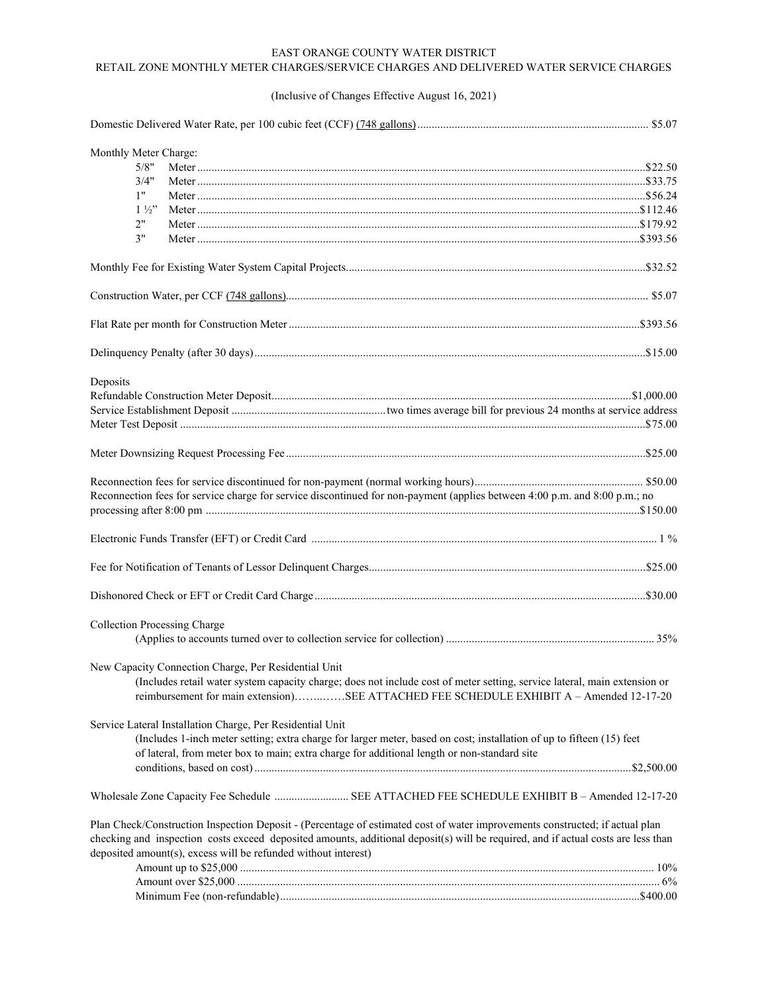## EAST ORANGE COUNTY WATER DISTRICT RETAIL ZONE MONTHLY METER CHARGES/SERVICE CHARGES AND DELIVERED WATER SERVICE CHARGES

## (Inclusive of Changes Effective August 16, 2021)

| Monthly Meter Charge:               |                                                                                                                                   |  |
|-------------------------------------|-----------------------------------------------------------------------------------------------------------------------------------|--|
| 5/8"                                |                                                                                                                                   |  |
| 3/4"                                |                                                                                                                                   |  |
| 1"                                  |                                                                                                                                   |  |
| $1\frac{1}{2}$                      |                                                                                                                                   |  |
| 2"                                  |                                                                                                                                   |  |
| 3"                                  |                                                                                                                                   |  |
|                                     |                                                                                                                                   |  |
|                                     |                                                                                                                                   |  |
|                                     |                                                                                                                                   |  |
|                                     |                                                                                                                                   |  |
|                                     |                                                                                                                                   |  |
| Deposits                            |                                                                                                                                   |  |
|                                     |                                                                                                                                   |  |
|                                     |                                                                                                                                   |  |
|                                     |                                                                                                                                   |  |
|                                     |                                                                                                                                   |  |
|                                     |                                                                                                                                   |  |
|                                     | Reconnection fees for service charge for service discontinued for non-payment (applies between 4:00 p.m. and 8:00 p.m.; no        |  |
|                                     |                                                                                                                                   |  |
|                                     |                                                                                                                                   |  |
|                                     |                                                                                                                                   |  |
| <b>Collection Processing Charge</b> |                                                                                                                                   |  |
|                                     |                                                                                                                                   |  |
|                                     | New Capacity Connection Charge, Per Residential Unit                                                                              |  |
|                                     | (Includes retail water system capacity charge; does not include cost of meter setting, service lateral, main extension or         |  |
|                                     | reimbursement for main extension)SEE ATTACHED FEE SCHEDULE EXHIBIT A - Amended 12-17-20                                           |  |
|                                     | Service Lateral Installation Charge, Per Residential Unit                                                                         |  |
|                                     | (Includes 1-inch meter setting; extra charge for larger meter, based on cost; installation of up to fifteen (15) feet             |  |
|                                     | of lateral, from meter box to main; extra charge for additional length or non-standard site                                       |  |
|                                     |                                                                                                                                   |  |
|                                     |                                                                                                                                   |  |
|                                     |                                                                                                                                   |  |
|                                     | Plan Check/Construction Inspection Deposit - (Percentage of estimated cost of water improvements constructed; if actual plan      |  |
|                                     | checking and inspection costs exceed deposited amounts, additional deposit(s) will be required, and if actual costs are less than |  |
|                                     | deposited amount(s), excess will be refunded without interest)                                                                    |  |
|                                     |                                                                                                                                   |  |
|                                     |                                                                                                                                   |  |
|                                     |                                                                                                                                   |  |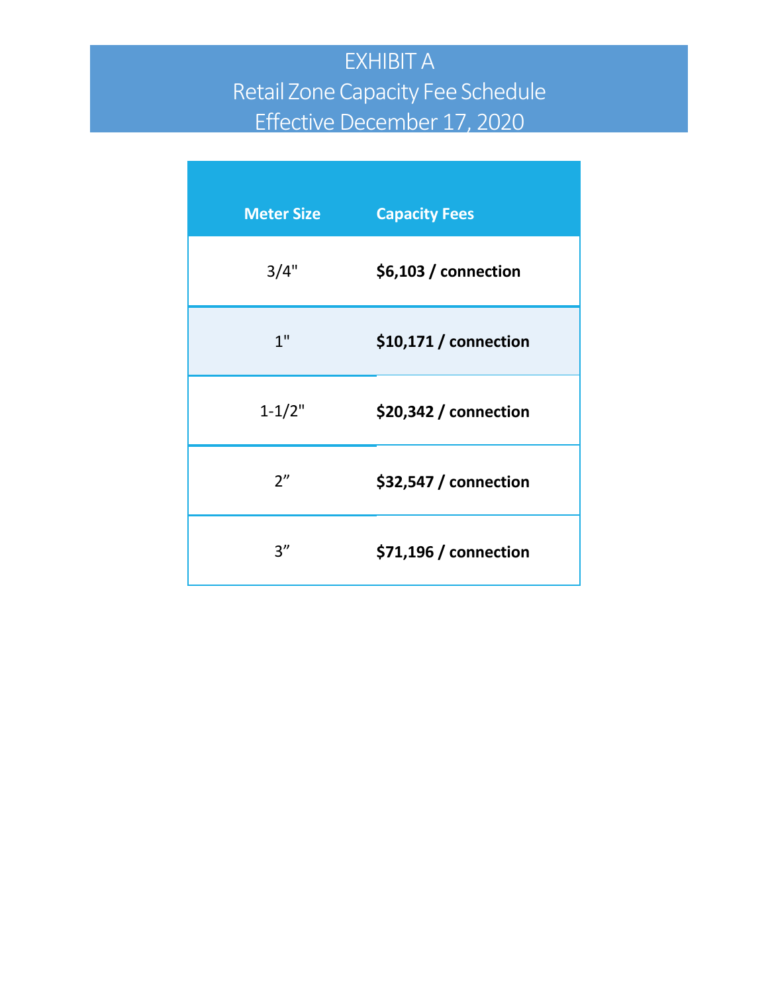## EXHIBIT A Retail Zone Capacity Fee Schedule Effective December 17, 2020

| <b>Meter Size</b> | <b>Capacity Fees</b>   |
|-------------------|------------------------|
| 3/4"              | $$6,103/$ connection   |
| 1 <sup>II</sup>   | $$10,171/$ connection  |
| $1 - 1/2"$        | $$20,342$ / connection |
| 2"                | $$32,547$ / connection |
| 3''               | \$71,196 / connection  |